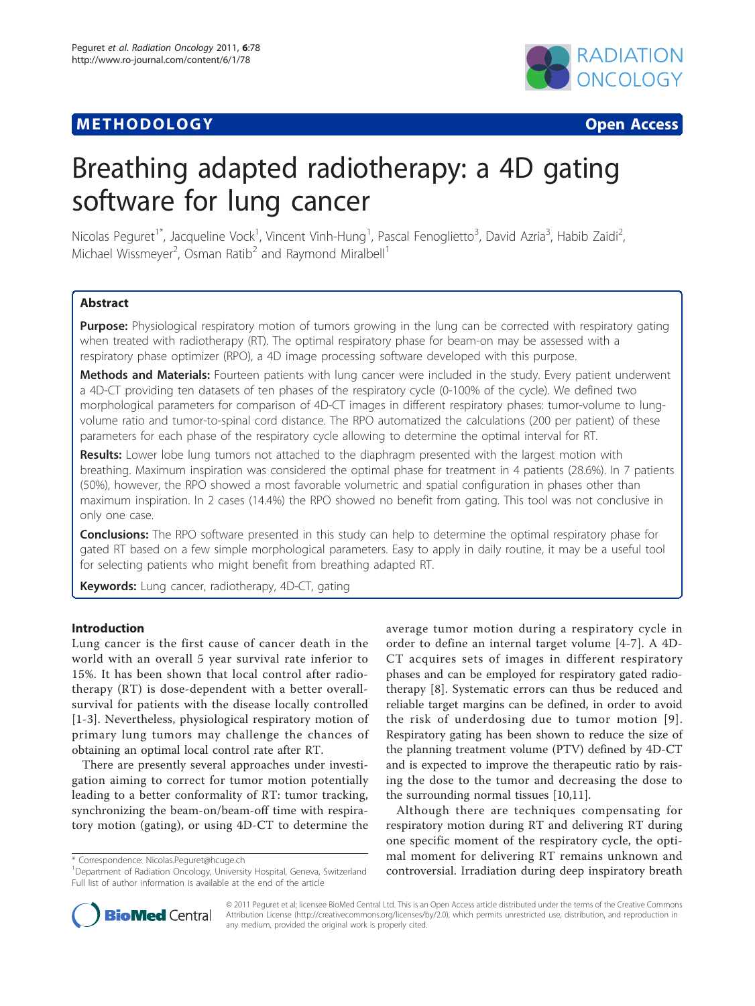## **METHODOLOGY CONSUMING ACCESS**



# Breathing adapted radiotherapy: a 4D gating software for lung cancer

Nicolas Peguret<sup>1\*</sup>, Jacqueline Vock<sup>1</sup>, Vincent Vinh-Hung<sup>1</sup>, Pascal Fenoglietto<sup>3</sup>, David Azria<sup>3</sup>, Habib Zaidi<sup>2</sup> , Michael Wissmeyer<sup>2</sup>, Osman Ratib<sup>2</sup> and Raymond Miralbell<sup>1</sup>

## Abstract

Purpose: Physiological respiratory motion of tumors growing in the lung can be corrected with respiratory gating when treated with radiotherapy (RT). The optimal respiratory phase for beam-on may be assessed with a respiratory phase optimizer (RPO), a 4D image processing software developed with this purpose.

Methods and Materials: Fourteen patients with lung cancer were included in the study. Every patient underwent a 4D-CT providing ten datasets of ten phases of the respiratory cycle (0-100% of the cycle). We defined two morphological parameters for comparison of 4D-CT images in different respiratory phases: tumor-volume to lungvolume ratio and tumor-to-spinal cord distance. The RPO automatized the calculations (200 per patient) of these parameters for each phase of the respiratory cycle allowing to determine the optimal interval for RT.

Results: Lower lobe lung tumors not attached to the diaphragm presented with the largest motion with breathing. Maximum inspiration was considered the optimal phase for treatment in 4 patients (28.6%). In 7 patients (50%), however, the RPO showed a most favorable volumetric and spatial configuration in phases other than maximum inspiration. In 2 cases (14.4%) the RPO showed no benefit from gating. This tool was not conclusive in only one case.

**Conclusions:** The RPO software presented in this study can help to determine the optimal respiratory phase for gated RT based on a few simple morphological parameters. Easy to apply in daily routine, it may be a useful tool for selecting patients who might benefit from breathing adapted RT.

Keywords: Lung cancer, radiotherapy, 4D-CT, gating

## Introduction

Lung cancer is the first cause of cancer death in the world with an overall 5 year survival rate inferior to 15%. It has been shown that local control after radiotherapy (RT) is dose-dependent with a better overallsurvival for patients with the disease locally controlled [[1](#page-6-0)-[3\]](#page-7-0). Nevertheless, physiological respiratory motion of primary lung tumors may challenge the chances of obtaining an optimal local control rate after RT.

There are presently several approaches under investigation aiming to correct for tumor motion potentially leading to a better conformality of RT: tumor tracking, synchronizing the beam-on/beam-off time with respiratory motion (gating), or using 4D-CT to determine the average tumor motion during a respiratory cycle in order to define an internal target volume [[4-7\]](#page-7-0). A 4D-CT acquires sets of images in different respiratory phases and can be employed for respiratory gated radiotherapy [[8\]](#page-7-0). Systematic errors can thus be reduced and reliable target margins can be defined, in order to avoid the risk of underdosing due to tumor motion [[9\]](#page-7-0). Respiratory gating has been shown to reduce the size of the planning treatment volume (PTV) defined by 4D-CT and is expected to improve the therapeutic ratio by raising the dose to the tumor and decreasing the dose to the surrounding normal tissues [\[10,11](#page-7-0)].

Although there are techniques compensating for respiratory motion during RT and delivering RT during one specific moment of the respiratory cycle, the optimal moment for delivering RT remains unknown and controversial. Irradiation during deep inspiratory breath



© 2011 Peguret et al; licensee BioMed Central Ltd. This is an Open Access article distributed under the terms of the Creative Commons Attribution License [\(http://creativecommons.org/licenses/by/2.0](http://creativecommons.org/licenses/by/2.0)), which permits unrestricted use, distribution, and reproduction in any medium, provided the original work is properly cited.

<sup>\*</sup> Correspondence: [Nicolas.Peguret@hcuge.ch](mailto:Nicolas.Peguret@hcuge.ch)

<sup>&</sup>lt;sup>1</sup>Department of Radiation Oncology, University Hospital, Geneva, Switzerland Full list of author information is available at the end of the article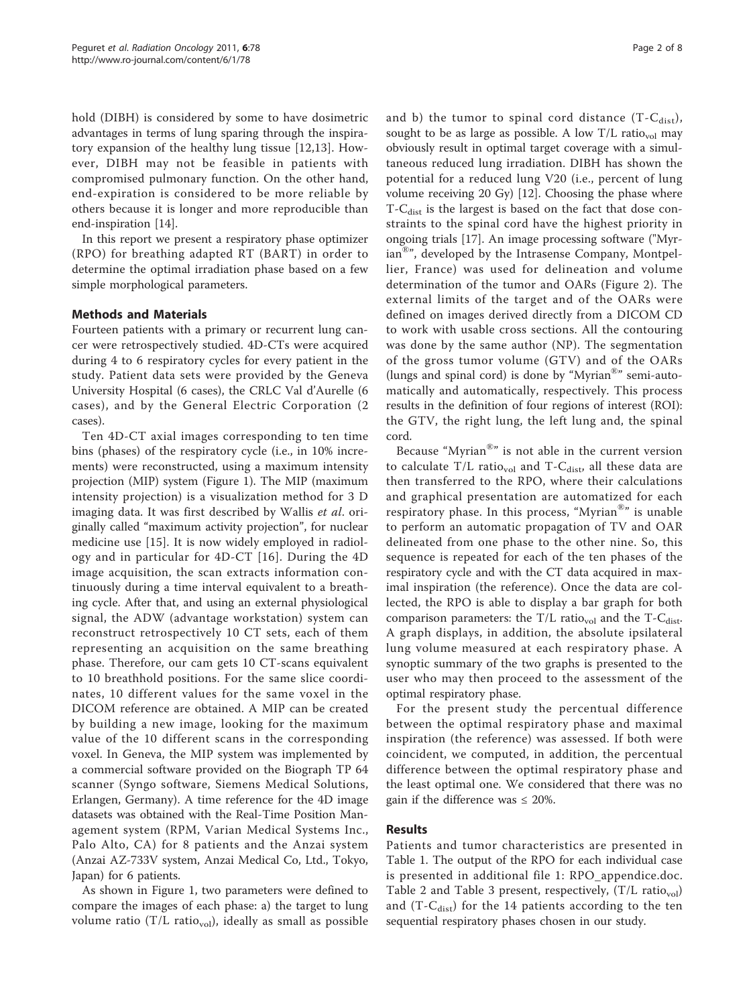hold (DIBH) is considered by some to have dosimetric advantages in terms of lung sparing through the inspiratory expansion of the healthy lung tissue [[12,13](#page-7-0)]. However, DIBH may not be feasible in patients with compromised pulmonary function. On the other hand, end-expiration is considered to be more reliable by others because it is longer and more reproducible than end-inspiration [\[14](#page-7-0)].

In this report we present a respiratory phase optimizer (RPO) for breathing adapted RT (BART) in order to determine the optimal irradiation phase based on a few simple morphological parameters.

## Methods and Materials

Fourteen patients with a primary or recurrent lung cancer were retrospectively studied. 4D-CTs were acquired during 4 to 6 respiratory cycles for every patient in the study. Patient data sets were provided by the Geneva University Hospital (6 cases), the CRLC Val d'Aurelle (6 cases), and by the General Electric Corporation (2 cases).

Ten 4D-CT axial images corresponding to ten time bins (phases) of the respiratory cycle (i.e., in 10% increments) were reconstructed, using a maximum intensity projection (MIP) system (Figure [1\)](#page-2-0). The MIP (maximum intensity projection) is a visualization method for 3 D imaging data. It was first described by Wallis et al. originally called "maximum activity projection", for nuclear medicine use [\[15](#page-7-0)]. It is now widely employed in radiology and in particular for 4D-CT [[16](#page-7-0)]. During the 4D image acquisition, the scan extracts information continuously during a time interval equivalent to a breathing cycle. After that, and using an external physiological signal, the ADW (advantage workstation) system can reconstruct retrospectively 10 CT sets, each of them representing an acquisition on the same breathing phase. Therefore, our cam gets 10 CT-scans equivalent to 10 breathhold positions. For the same slice coordinates, 10 different values for the same voxel in the DICOM reference are obtained. A MIP can be created by building a new image, looking for the maximum value of the 10 different scans in the corresponding voxel. In Geneva, the MIP system was implemented by a commercial software provided on the Biograph TP 64 scanner (Syngo software, Siemens Medical Solutions, Erlangen, Germany). A time reference for the 4D image datasets was obtained with the Real-Time Position Management system (RPM, Varian Medical Systems Inc., Palo Alto, CA) for 8 patients and the Anzai system (Anzai AZ-733V system, Anzai Medical Co, Ltd., Tokyo, Japan) for 6 patients.

As shown in Figure [1,](#page-2-0) two parameters were defined to compare the images of each phase: a) the target to lung volume ratio (T/L ratio<sub>vol</sub>), ideally as small as possible and b) the tumor to spinal cord distance  $(T-C_{dist})$ , sought to be as large as possible. A low  $T/L$  ratio<sub>vol</sub> may obviously result in optimal target coverage with a simultaneous reduced lung irradiation. DIBH has shown the potential for a reduced lung V20 (i.e., percent of lung volume receiving 20 Gy) [[12\]](#page-7-0). Choosing the phase where  $T-C_{dist}$  is the largest is based on the fact that dose constraints to the spinal cord have the highest priority in ongoing trials [\[17\]](#page-7-0). An image processing software ("Myrian<sup>®</sup>", developed by the Intrasense Company, Montpellier, France) was used for delineation and volume determination of the tumor and OARs (Figure [2\)](#page-3-0). The external limits of the target and of the OARs were defined on images derived directly from a DICOM CD to work with usable cross sections. All the contouring was done by the same author (NP). The segmentation of the gross tumor volume (GTV) and of the OARs (lungs and spinal cord) is done by "Myrian®" semi-automatically and automatically, respectively. This process results in the definition of four regions of interest (ROI): the GTV, the right lung, the left lung and, the spinal cord.

Because "Myrian®" is not able in the current version to calculate T/L ratio<sub>vol</sub> and T-C<sub>dist</sub>, all these data are then transferred to the RPO, where their calculations and graphical presentation are automatized for each respiratory phase. In this process, "Myrian®" is unable to perform an automatic propagation of TV and OAR delineated from one phase to the other nine. So, this sequence is repeated for each of the ten phases of the respiratory cycle and with the CT data acquired in maximal inspiration (the reference). Once the data are collected, the RPO is able to display a bar graph for both comparison parameters: the T/L ratio<sub>vol</sub> and the T-C<sub>dist</sub>. A graph displays, in addition, the absolute ipsilateral lung volume measured at each respiratory phase. A synoptic summary of the two graphs is presented to the user who may then proceed to the assessment of the optimal respiratory phase.

For the present study the percentual difference between the optimal respiratory phase and maximal inspiration (the reference) was assessed. If both were coincident, we computed, in addition, the percentual difference between the optimal respiratory phase and the least optimal one. We considered that there was no gain if the difference was  $\leq 20\%$ .

## Results

Patients and tumor characteristics are presented in Table [1.](#page-3-0) The output of the RPO for each individual case is presented in additional file 1: RPO\_appendice.doc. Table [2](#page-4-0) and Table [3](#page-4-0) present, respectively,  $(T/L \; ratio_{vol})$ and  $(T-C_{dist})$  for the 14 patients according to the ten sequential respiratory phases chosen in our study.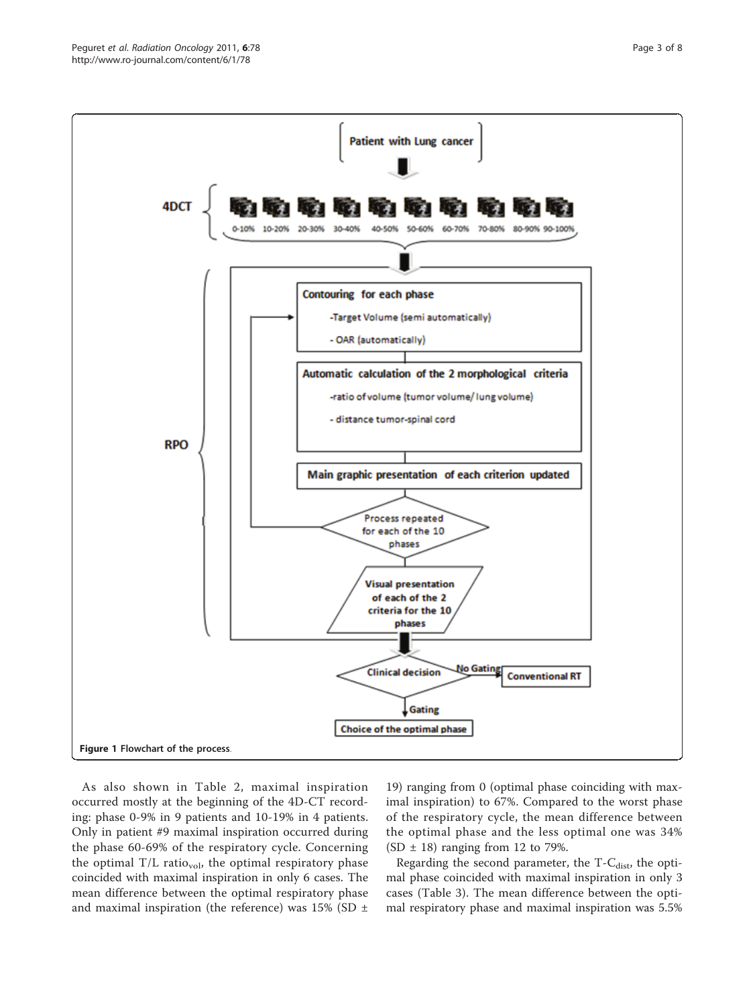<span id="page-2-0"></span>

As also shown in Table [2,](#page-4-0) maximal inspiration occurred mostly at the beginning of the 4D-CT recording: phase 0-9% in 9 patients and 10-19% in 4 patients. Only in patient #9 maximal inspiration occurred during the phase 60-69% of the respiratory cycle. Concerning the optimal  $T/L$  ratio<sub>vol</sub>, the optimal respiratory phase coincided with maximal inspiration in only 6 cases. The mean difference between the optimal respiratory phase and maximal inspiration (the reference) was  $15\%$  (SD  $\pm$ 

19) ranging from 0 (optimal phase coinciding with maximal inspiration) to 67%. Compared to the worst phase of the respiratory cycle, the mean difference between the optimal phase and the less optimal one was 34% (SD  $\pm$  18) ranging from 12 to 79%.

Regarding the second parameter, the  $T-C<sub>dist</sub>$ , the optimal phase coincided with maximal inspiration in only 3 cases (Table [3\)](#page-4-0). The mean difference between the optimal respiratory phase and maximal inspiration was 5.5%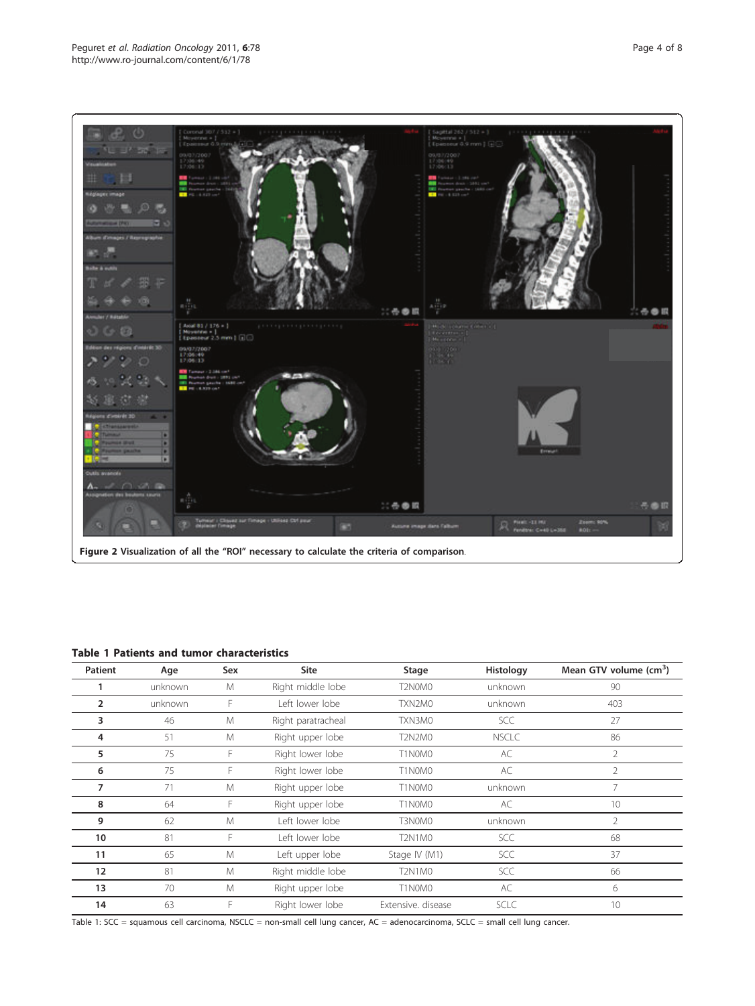<span id="page-3-0"></span>

Figure 2 Visualization of all the "ROI" necessary to calculate the criteria of comparison.

## Table 1 Patients and tumor characteristics

| Patient        | Age     | Sex | <b>Site</b>        | Stage              | Histology    | Mean GTV volume (cm <sup>3</sup> ) |
|----------------|---------|-----|--------------------|--------------------|--------------|------------------------------------|
|                | unknown | M   | Right middle lobe  | T2N0M0             | unknown      | 90                                 |
| $\overline{2}$ | unknown | F   | Left lower lobe    | TXN2M0             | unknown      | 403                                |
| 3              | 46      | M   | Right paratracheal | TXN3M0             | <b>SCC</b>   | 27                                 |
| 4              | 51      | M   | Right upper lobe   | T2N2M0             | <b>NSCLC</b> | 86                                 |
| 5              | 75      | F   | Right lower lobe   | T1N0M0             | AC           | $\overline{2}$                     |
| 6              | 75      | F   | Right lower lobe   | T1N0M0             | AC           | $\overline{2}$                     |
| 7              | 71      | M   | Right upper lobe   | T1N0M0             | unknown      | 7                                  |
| 8              | 64      | F   | Right upper lobe   | T1N0M0             | AC           | 10                                 |
| 9              | 62      | M   | I eft lower lobe   | T3N0M0             | unknown      | 2                                  |
| 10             | 81      | F   | Left lower lobe    | T2N1M0             | <b>SCC</b>   | 68                                 |
| 11             | 65      | M   | Left upper lobe    | Stage IV (M1)      | <b>SCC</b>   | 37                                 |
| 12             | 81      | M   | Right middle lobe  | T2N1M0             | <b>SCC</b>   | 66                                 |
| 13             | 70      | M   | Right upper lobe   | T1N0M0             | AC           | 6                                  |
| 14             | 63      | F   | Right lower lobe   | Extensive, disease | <b>SCLC</b>  | 10                                 |

Table 1: SCC = squamous cell carcinoma, NSCLC = non-small cell lung cancer, AC = adenocarcinoma, SCLC = small cell lung cancer.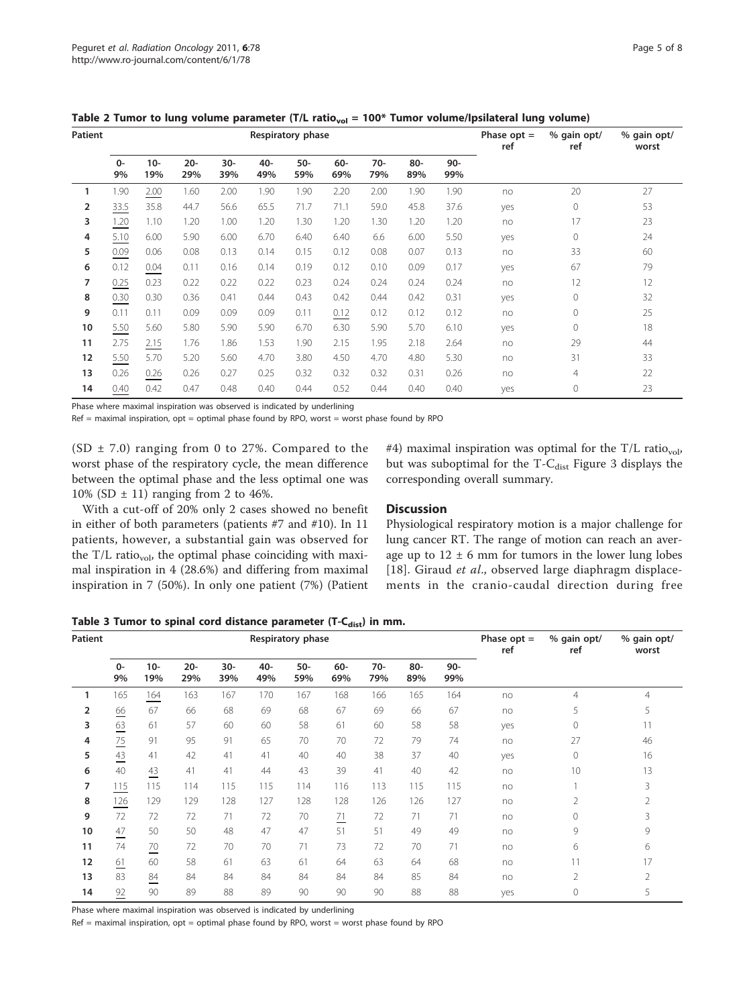| Patient |             |               |               |            | Respiratory phase | Phase $opt =$<br>ref | % gain opt/<br>ref | % gain opt/<br>worst |            |               |     |              |    |
|---------|-------------|---------------|---------------|------------|-------------------|----------------------|--------------------|----------------------|------------|---------------|-----|--------------|----|
|         | $0 -$<br>9% | $10 -$<br>19% | $20 -$<br>29% | 30-<br>39% | $40 -$<br>49%     | $50-$<br>59%         | 60-<br>69%         | $70-$<br>79%         | 80-<br>89% | $90 -$<br>99% |     |              |    |
| 1       | 1.90        | 2.00          | 1.60          | 2.00       | 1.90              | 1.90                 | 2.20               | 2.00                 | 1.90       | 1.90          | no  | 20           | 27 |
| 2       | 33.5        | 35.8          | 44.7          | 56.6       | 65.5              | 71.7                 | 71.1               | 59.0                 | 45.8       | 37.6          | yes | $\mathbf{0}$ | 53 |
| 3       | 1.20        | 1.10          | 1.20          | 1.00       | 1.20              | 1.30                 | 1.20               | 1.30                 | 1.20       | 1.20          | no  | 17           | 23 |
| 4       | 5.10        | 6.00          | 5.90          | 6.00       | 6.70              | 6.40                 | 6.40               | 6.6                  | 6.00       | 5.50          | yes | $\circ$      | 24 |
| 5       | 0.09        | 0.06          | 0.08          | 0.13       | 0.14              | 0.15                 | 0.12               | 0.08                 | 0.07       | 0.13          | no  | 33           | 60 |
| 6       | 0.12        | 0.04          | 0.11          | 0.16       | 0.14              | 0.19                 | 0.12               | 0.10                 | 0.09       | 0.17          | yes | 67           | 79 |
| 7       | 0.25        | 0.23          | 0.22          | 0.22       | 0.22              | 0.23                 | 0.24               | 0.24                 | 0.24       | 0.24          | no  | 12           | 12 |
| 8       | 0.30        | 0.30          | 0.36          | 0.41       | 0.44              | 0.43                 | 0.42               | 0.44                 | 0.42       | 0.31          | yes | $\circ$      | 32 |
| 9       | 0.11        | 0.11          | 0.09          | 0.09       | 0.09              | 0.11                 | 0.12               | 0.12                 | 0.12       | 0.12          | no  | $\Omega$     | 25 |
| 10      | 5.50        | 5.60          | 5.80          | 5.90       | 5.90              | 6.70                 | 6.30               | 5.90                 | 5.70       | 6.10          | yes | $\Omega$     | 18 |
| 11      | 2.75        | 2.15          | 1.76          | 1.86       | 1.53              | 1.90                 | 2.15               | 1.95                 | 2.18       | 2.64          | no  | 29           | 44 |
| 12      | 5.50        | 5.70          | 5.20          | 5.60       | 4.70              | 3.80                 | 4.50               | 4.70                 | 4.80       | 5.30          | no  | 31           | 33 |
| 13      | 0.26        | 0.26          | 0.26          | 0.27       | 0.25              | 0.32                 | 0.32               | 0.32                 | 0.31       | 0.26          | no  | 4            | 22 |
| 14      | 0.40        | 0.42          | 0.47          | 0.48       | 0.40              | 0.44                 | 0.52               | 0.44                 | 0.40       | 0.40          | yes | $\circ$      | 23 |

<span id="page-4-0"></span>Table 2 Tumor to lung volume parameter (T/L ratio<sub>vol</sub> = 100\* Tumor volume/Ipsilateral lung volume)

Phase where maximal inspiration was observed is indicated by underlining

 $Ref =$  maximal inspiration,  $opt =$  optimal phase found by RPO, worst = worst phase found by RPO

(SD  $\pm$  7.0) ranging from 0 to 27%. Compared to the worst phase of the respiratory cycle, the mean difference between the optimal phase and the less optimal one was 10% (SD  $\pm$  11) ranging from 2 to 46%.

With a cut-off of 20% only 2 cases showed no benefit in either of both parameters (patients #7 and #10). In 11 patients, however, a substantial gain was observed for the  $T/L$  ratio<sub>vol</sub>, the optimal phase coinciding with maximal inspiration in 4 (28.6%) and differing from maximal inspiration in 7 (50%). In only one patient (7%) (Patient

#4) maximal inspiration was optimal for the  $T/L$  ratio<sub>vol</sub>, but was suboptimal for the  $T-C_{\text{dist}}$  Figure [3](#page-5-0) displays the corresponding overall summary.

### **Discussion**

Physiological respiratory motion is a major challenge for lung cancer RT. The range of motion can reach an average up to  $12 \pm 6$  mm for tumors in the lower lung lobes [[18](#page-7-0)]. Giraud et al., observed large diaphragm displacements in the cranio-caudal direction during free

Table 3 Tumor to spinal cord distance parameter (T- $C_{dist}$ ) in mm.

| Patient        |             |                 |               |            | Respiratory phase | Phase $opt =$<br>ref | % gain opt/<br>ref | % gain opt/<br>worst |            |            |     |                |                |
|----------------|-------------|-----------------|---------------|------------|-------------------|----------------------|--------------------|----------------------|------------|------------|-----|----------------|----------------|
|                | $0 -$<br>9% | $10 -$<br>19%   | $20 -$<br>29% | 30-<br>39% | 40-<br>49%        | 50-<br>59%           | 60-<br>69%         | $70-$<br>79%         | 80-<br>89% | 90-<br>99% |     |                |                |
| 1              | 165         | 164             | 163           | 167        | 170               | 167                  | 168                | 166                  | 165        | 164        | no  | $\overline{4}$ | 4              |
| $\overline{2}$ | 66          | 67              | 66            | 68         | 69                | 68                   | 67                 | 69                   | 66         | 67         | no  | 5              | 5              |
| 3              | 63          | 61              | 57            | 60         | 60                | 58                   | 61                 | 60                   | 58         | 58         | yes | 0              | 11             |
| 4              | 75          | 91              | 95            | 91         | 65                | 70                   | 70                 | 72                   | 79         | 74         | no  | 27             | 46             |
| 5              | 43          | 41              | 42            | 41         | 41                | 40                   | 40                 | 38                   | 37         | 40         | yes | 0              | 16             |
| 6              | 40          | 43              | 41            | 41         | 44                | 43                   | 39                 | 41                   | 40         | 42         | no  | 10             | 13             |
| 7              | 115         | 115             | 114           | 115        | 115               | 114                  | 116                | 113                  | 115        | 115        | no  |                | 3              |
| 8              | 126         | 129             | 129           | 128        | 127               | 128                  | 128                | 126                  | 126        | 127        | no  | 2              | $\overline{2}$ |
| 9              | 72          | 72              | 72            | 71         | 72                | 70                   | $\frac{71}{2}$     | 72                   | 71         | 71         | no  | 0              | 3              |
| 10             | 47<br>--    | 50              | 50            | 48         | 47                | 47                   | 51                 | 51                   | 49         | 49         | no  | 9              | 9              |
| 11             | 74          | $\overline{20}$ | 72            | 70         | 70                | 71                   | 73                 | 72                   | 70         | 71         | no  | 6              | 6              |
| 12             | 61          | 60              | 58            | 61         | 63                | 61                   | 64                 | 63                   | 64         | 68         | no  | 11             | 17             |
| 13             | 83          | 84              | 84            | 84         | 84                | 84                   | 84                 | 84                   | 85         | 84         | no  | 2              | 2              |
| 14             | 92          | 90              | 89            | 88         | 89                | 90                   | 90                 | 90                   | 88         | 88         | yes | 0              | 5              |

Phase where maximal inspiration was observed is indicated by underlining

 $Ref =$  maximal inspiration,  $opt =$  optimal phase found by RPO, worst = worst phase found by RPO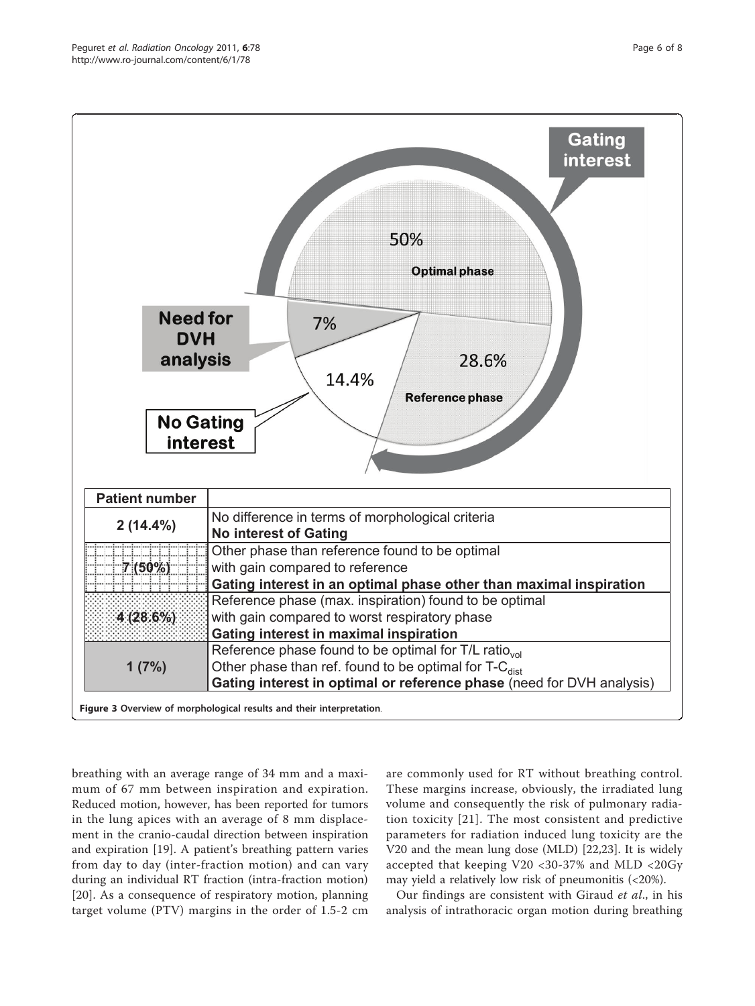<span id="page-5-0"></span>

breathing with an average range of 34 mm and a maximum of 67 mm between inspiration and expiration. Reduced motion, however, has been reported for tumors in the lung apices with an average of 8 mm displacement in the cranio-caudal direction between inspiration and expiration [[19\]](#page-7-0). A patient's breathing pattern varies from day to day (inter-fraction motion) and can vary during an individual RT fraction (intra-fraction motion) [[20](#page-7-0)]. As a consequence of respiratory motion, planning target volume (PTV) margins in the order of 1.5-2 cm

are commonly used for RT without breathing control. These margins increase, obviously, the irradiated lung volume and consequently the risk of pulmonary radiation toxicity [[21](#page-7-0)]. The most consistent and predictive parameters for radiation induced lung toxicity are the V20 and the mean lung dose (MLD) [[22](#page-7-0),[23](#page-7-0)]. It is widely accepted that keeping V20 <30-37% and MLD <20Gy may yield a relatively low risk of pneumonitis (<20%).

Our findings are consistent with Giraud et al., in his analysis of intrathoracic organ motion during breathing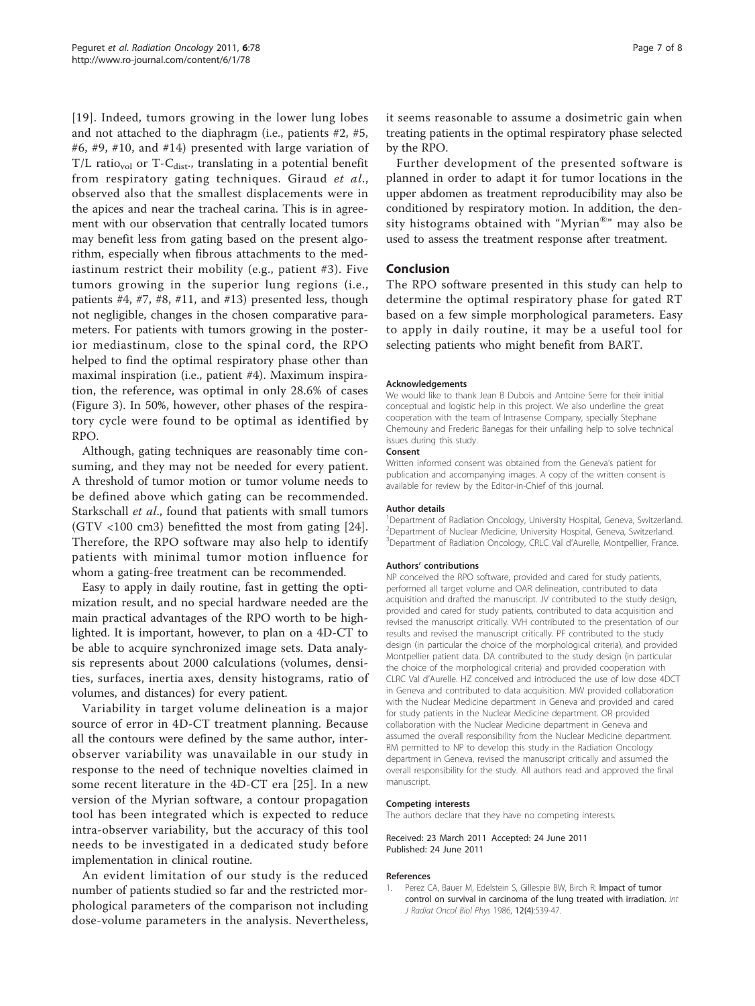<span id="page-6-0"></span>[[19\]](#page-7-0). Indeed, tumors growing in the lower lung lobes and not attached to the diaphragm (i.e., patients #2, #5, #6, #9, #10, and #14) presented with large variation of  $T/L$  ratio<sub>vol</sub> or  $T-C_{dist}$ , translating in a potential benefit from respiratory gating techniques. Giraud et al., observed also that the smallest displacements were in the apices and near the tracheal carina. This is in agreement with our observation that centrally located tumors may benefit less from gating based on the present algorithm, especially when fibrous attachments to the mediastinum restrict their mobility (e.g., patient #3). Five tumors growing in the superior lung regions (i.e., patients #4, #7, #8, #11, and #13) presented less, though not negligible, changes in the chosen comparative parameters. For patients with tumors growing in the posterior mediastinum, close to the spinal cord, the RPO helped to find the optimal respiratory phase other than maximal inspiration (i.e., patient #4). Maximum inspiration, the reference, was optimal in only 28.6% of cases (Figure [3\)](#page-5-0). In 50%, however, other phases of the respiratory cycle were found to be optimal as identified by RPO.

Although, gating techniques are reasonably time consuming, and they may not be needed for every patient. A threshold of tumor motion or tumor volume needs to be defined above which gating can be recommended. Starkschall et al., found that patients with small tumors (GTV <100 cm3) benefitted the most from gating [[24](#page-7-0)]. Therefore, the RPO software may also help to identify patients with minimal tumor motion influence for whom a gating-free treatment can be recommended.

Easy to apply in daily routine, fast in getting the optimization result, and no special hardware needed are the main practical advantages of the RPO worth to be highlighted. It is important, however, to plan on a 4D-CT to be able to acquire synchronized image sets. Data analysis represents about 2000 calculations (volumes, densities, surfaces, inertia axes, density histograms, ratio of volumes, and distances) for every patient.

Variability in target volume delineation is a major source of error in 4D-CT treatment planning. Because all the contours were defined by the same author, interobserver variability was unavailable in our study in response to the need of technique novelties claimed in some recent literature in the 4D-CT era [\[25](#page-7-0)]. In a new version of the Myrian software, a contour propagation tool has been integrated which is expected to reduce intra-observer variability, but the accuracy of this tool needs to be investigated in a dedicated study before implementation in clinical routine.

An evident limitation of our study is the reduced number of patients studied so far and the restricted morphological parameters of the comparison not including dose-volume parameters in the analysis. Nevertheless, it seems reasonable to assume a dosimetric gain when treating patients in the optimal respiratory phase selected by the RPO.

Further development of the presented software is planned in order to adapt it for tumor locations in the upper abdomen as treatment reproducibility may also be conditioned by respiratory motion. In addition, the density histograms obtained with "Myrian®" may also be used to assess the treatment response after treatment.

## Conclusion

The RPO software presented in this study can help to determine the optimal respiratory phase for gated RT based on a few simple morphological parameters. Easy to apply in daily routine, it may be a useful tool for selecting patients who might benefit from BART.

#### Acknowledgements

We would like to thank Jean B Dubois and Antoine Serre for their initial conceptual and logistic help in this project. We also underline the great cooperation with the team of Intrasense Company, specially Stephane Chemouny and Frederic Banegas for their unfailing help to solve technical issues during this study.

#### Consent

Written informed consent was obtained from the Geneva's patient for publication and accompanying images. A copy of the written consent is available for review by the Editor-in-Chief of this journal.

#### Author details

<sup>1</sup>Department of Radiation Oncology, University Hospital, Geneva, Switzerland. <sup>2</sup> Department of Nuclear Medicine, University Hospital, Geneva, Switzerland. <sup>3</sup>Department of Radiation Oncology, CRLC Val d'Aurelle, Montpellier, France.

#### Authors' contributions

NP conceived the RPO software, provided and cared for study patients, performed all target volume and OAR delineation, contributed to data acquisition and drafted the manuscript. JV contributed to the study design, provided and cared for study patients, contributed to data acquisition and revised the manuscript critically. VVH contributed to the presentation of our results and revised the manuscript critically. PF contributed to the study design (in particular the choice of the morphological criteria), and provided Montpellier patient data. DA contributed to the study design (in particular the choice of the morphological criteria) and provided cooperation with CLRC Val d'Aurelle. HZ conceived and introduced the use of low dose 4DCT in Geneva and contributed to data acquisition. MW provided collaboration with the Nuclear Medicine department in Geneva and provided and cared for study patients in the Nuclear Medicine department. OR provided collaboration with the Nuclear Medicine department in Geneva and assumed the overall responsibility from the Nuclear Medicine department. RM permitted to NP to develop this study in the Radiation Oncology department in Geneva, revised the manuscript critically and assumed the overall responsibility for the study. All authors read and approved the final manuscript.

#### Competing interests

The authors declare that they have no competing interests.

#### Received: 23 March 2011 Accepted: 24 June 2011 Published: 24 June 2011

#### References

1. Perez CA, Bauer M, Edelstein S, Gillespie BW, Birch R: [Impact of tumor](http://www.ncbi.nlm.nih.gov/pubmed/3009368?dopt=Abstract) [control on survival in carcinoma of the lung treated with irradiation.](http://www.ncbi.nlm.nih.gov/pubmed/3009368?dopt=Abstract) Int J Radiat Oncol Biol Phys 1986, 12(4):539-47.